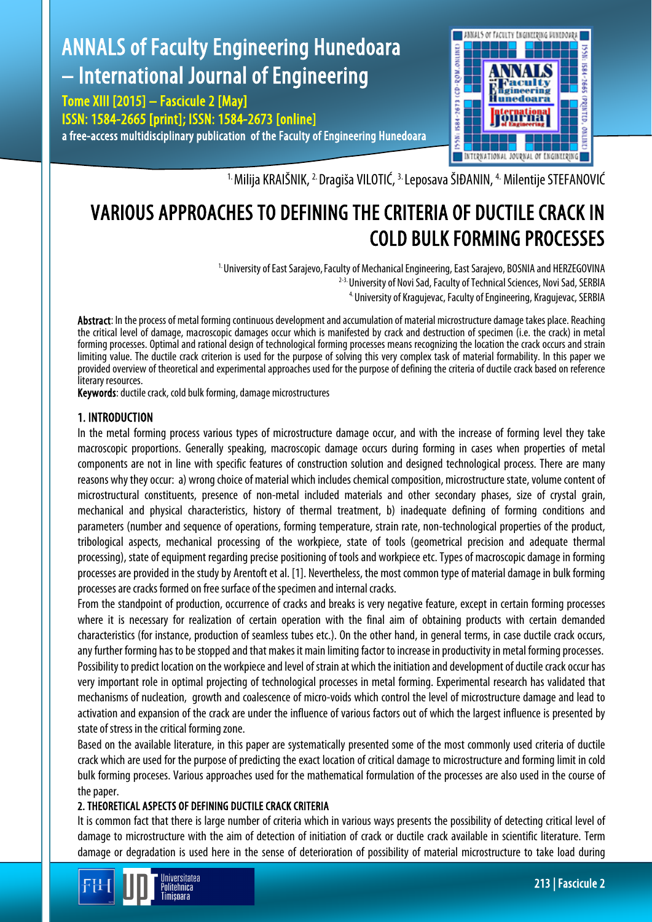#### ANNALS of Faculty Engineering Hunedoara 1998: IS84-2673 (CD-ROM.ONLINE – International Journal of Engineering aculty igineering Tome XIII [2015] – Fascicule 2 [May] Hunedoara ISSN: 1584-2665 [print]; ISSN: 1584-2673 [online] a free-access multidisciplinary publication of the Faculty of Engineering Hunedoara



<sup>1.</sup> Milija KRAIŠNIK, <sup>2.</sup> Dragiša VILOTIĆ, <sup>3.</sup> Leposava ŠIĐANIN, <sup>4.</sup> Milentije STEFANOVIĆ

# VARIOUS APPROACHES TO DEFINING THE CRITERIA OF DUCTILE CRACK IN COLD BULK FORMING PROCESSES

<sup>1.</sup> University of East Sarajevo, Faculty of Mechanical Engineering, East Sarajevo, BOSNIA and HERZEGOVINA <sup>2-3.</sup> University of Novi Sad, Faculty of Technical Sciences, Novi Sad, SERBIA 4. University of Kragujevac, FacultyofEngineering, Kragujevac, SERBIA

Abstract: In the process of metal forming continuous development and accumulation of material microstructure damage takes place. Reaching the critical level of damage, macroscopic damages occur which is manifested by crack and destruction of specimen (i.e. the crack) in metal forming processes. Optimal and rational design of technological forming processes means recognizing the location the crack occurs and strain limiting value. The ductile crack criterion is used for the purpose of solving this very complex task of material formability. In this paper we provided overview of theoretical and experimental approaches used for the purpose of defining the criteria of ductile crack based on reference literary resources.

Keywords: ductile crack, cold bulk forming, damage microstructures

# 1. INTRODUCTION

In the metal forming process various types of microstructure damage occur, and with the increase of forming level they take macroscopic proportions. Generally speaking, macroscopic damage occurs during forming in cases when properties of metal components are not in line with specific features of construction solution and designed technological process. There are many reasons why they occur: a) wrong choice of material which includes chemical composition, microstructure state, volume content of microstructural constituents, presence of non-metal included materials and other secondary phases, size of crystal grain, mechanical and physical characteristics, history of thermal treatment, b) inadequate defining of forming conditions and parameters (number and sequence of operations, forming temperature, strain rate, non-technological properties of the product, tribological aspects, mechanical processing of the workpiece, state of tools (geometrical precision and adequate thermal processing), state of equipment regarding precise positioning of tools and workpiece etc. Types of macroscopic damage in forming processes are provided in the study by Arentoft et al. [1]. Nevertheless, the most common type of material damage in bulk forming processes are cracks formed on free surface of the specimen and internal cracks.

From the standpoint of production, occurrence of cracks and breaks is very negative feature, except in certain forming processes where it is necessary for realization of certain operation with the final aim of obtaining products with certain demanded characteristics (for instance, production of seamless tubes etc.). On the other hand, in general terms, in case ductile crack occurs, any further forming has to be stopped and that makes it main limiting factor to increase in productivity in metal forming processes. Possibility to predict location on the workpiece and level of strain at which the initiation and development of ductile crack occur has very important role in optimal projecting of technological processes in metal forming. Experimental research has validated that mechanisms of nucleation, growth and coalescence of micro-voids which control the level of microstructure damage and lead to activation and expansion of the crack are under the influence of various factors out of which the largest influence is presented by state of stress in the critical forming zone.

Based on the available literature, in this paper are systematically presented some of the most commonly used criteria of ductile crack which are used for the purpose of predicting the exact location of critical damage to microstructure and forming limit in cold bulk forming proceses. Various approaches used for the mathematical formulation of the processes are also used in the course of the paper.

## 2. THEORETICAL ASPECTS OF DEFINING DUCTILE CRACK CRITERIA

It is common fact that there is large number of criteria which in various ways presents the possibility of detecting critical level of damage to microstructure with the aim of detection of initiation of crack or ductile crack available in scientific literature. Term damage or degradation is used here in the sense of deterioration of possibility of material microstructure to take load during

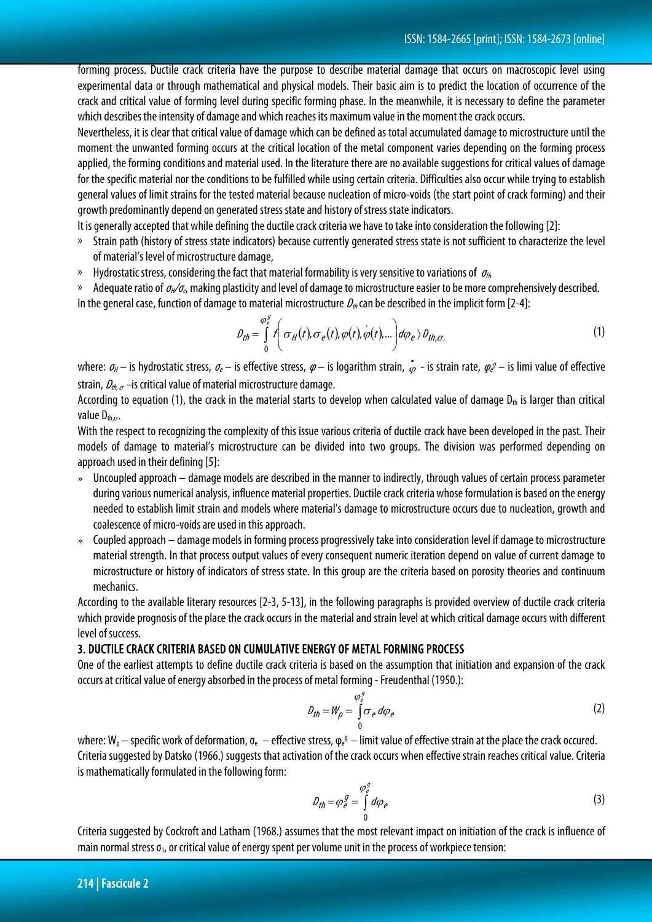forming process. Ductile crack criteria have the purpose to describe material damage that occurs on macroscopic level using experimental data or through mathematical and physical models. Their basic aim is to predict the location of occurrence of the crack and critical value of forming level during specific forming phase. In the meanwhile, it is necessary to define the parameter which describes the intensity of damage and which reaches its maximum value in the moment the crack occurs.

Nevertheless, it is clear that critical value of damage which can be defined as total accumulated damage to microstructure until the moment the unwanted forming occurs at the critical location of the metal component varies depending on the forming process applied, the forming conditions and material used. In the literature there are no available suggestions for critical values of damage for the specific material nor the conditions to be fulfilled while using certain criteria. Difficulties also occur while trying to establish general values of limit strains for the tested material because nucleation of micro-voids (the start point of crack forming) and their growth predominantly depend on generated stress state and history of stress state indicators.

It is generally accepted that while defining the ductile crack criteria we have to take into consideration the following [2]:

- » Strain path (history of stress state indicators) because currently generated stress state is not sufficient to characterize the level of material's level of microstructure damage,
- $\mu$  Hydrostatic stress, considering the fact that material formability is very sensitive to variations of  $\sigma_{\mu}$

» Adequate ratio of  $\sigma_{H}/\sigma_{e}$  making plasticity and level of damage to microstructure easier to be more comprehensively described. In the general case, function of damage to material microstructure  $D_{\theta}$  can be described in the implicit form [2-4]:

$$
D_{th} = \int_{0}^{\varphi_{e}^{g}} \int_{0}^{\tau} \sigma_{H}(t), \sigma_{e}(t), \varphi(t), \varphi(t), \ldots \bigg) d\varphi_{e} \rangle D_{th, cr}.
$$
 (1)

where:  $\sigma_H$  – is hydrostatic stress,  $\sigma_e$  – is effective stress,  $\varphi$  – is logarithm strain,  $\dot{\varphi}$  - is strain rate,  $\varphi_e$  – is limi value of effective strain,  $D_{th, \alpha}$  –is critical value of material microstructure damage.

According to equation (1), the crack in the material starts to develop when calculated value of damage  $D_{th}$  is larger than critical value  $D_{th,cr.}$ 

With the respect to recognizing the complexity of this issue various criteria of ductile crack have been developed in the past. Their models of damage to material's microstructure can be divided into two groups. The division was performed depending on approach used in their defining [5]:

- » Uncoupled approach damage models are described in the manner to indirectly, through values of certain process parameter during various numerical analysis, influence material properties. Ductile crack criteria whose formulation is based on the energy needed to establish limit strain and models where material's damage to microstructure occurs due to nucleation, growth and coalescence of micro-voids are used in this approach.
- » Coupled approach damage models in forming process progressively take into consideration level if damage to microstructure material strength. In that process output values of every consequent numeric iteration depend on value of current damage to microstructure or history of indicators of stress state. In this group are the criteria based on porosity theories and continuum mechanics.

According to the available literary resources [2-3, 5-13], in the following paragraphs is provided overview of ductile crack criteria which provide prognosis of the place the crack occurs in the material and strain level at which critical damage occurs with different level of success.

#### 3. DUCTILE CRACK CRITERIA BASED ON CUMULATIVE ENERGY OF METAL FORMING PROCESS

One of the earliest attempts to define ductile crack criteria is based on the assumption that initiation and expansion of the crack occurs at critical value of energy absorbed in the process of metal forming - Freudenthal (1950.):

$$
D_{th} = W_p = \int_{0}^{\varphi_e^g} \sigma_e \, d\varphi_e \tag{2}
$$

where: W<sub>p</sub> – specific work of deformation,  $\sigma_e$  – effective stress,  $\varphi_e$ <sup>g</sup> – limit value of effective strain at the place the crack occured. Criteria suggested by Datsko (1966.) suggests that activation of the crack occurs when effective strain reaches critical value. Criteria is mathematically formulated in the following form:

$$
D_{th} = \varphi_e^g = \int_0^{\varphi_e^g} d\varphi_e \tag{3}
$$

Criteria suggested by Cockroft and Latham (1968.) assumes that the most relevant impact on initiation of the crack is influence of main normal stress  $\sigma_1$ , or critical value of energy spent per volume unit in the process of workpiece tension: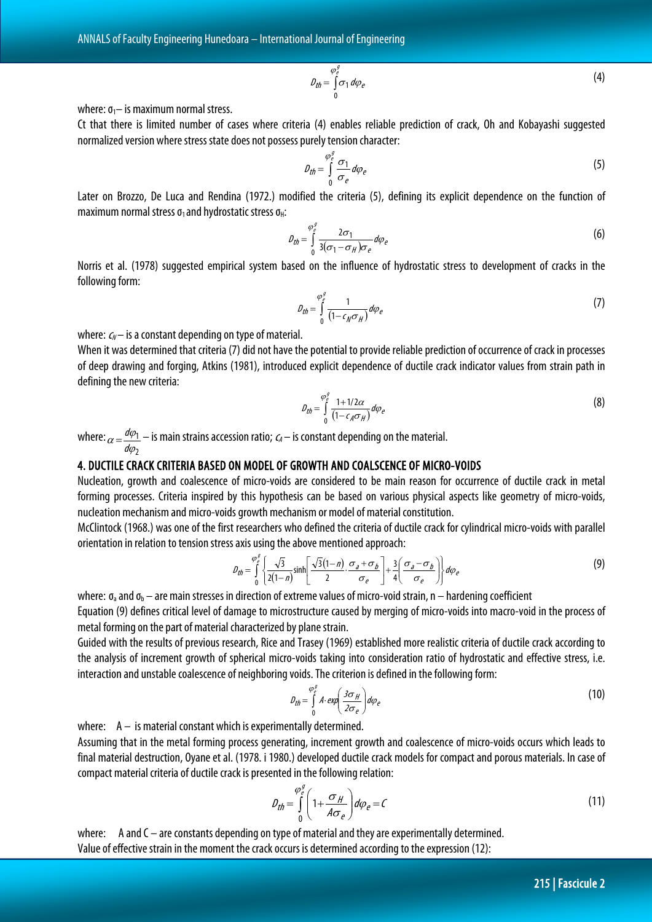$$
D_{th} = \int_{0}^{\varphi_e^g} \sigma_1 \, d\varphi_e \tag{4}
$$

where:  $\sigma_1$ – is maximum normal stress.

Ct that there is limited number of cases where criteria (4) enables reliable prediction of crack, Oh and Kobayashi suggested normalized version where stress state does not possess purely tension character:

$$
D_{th} = \int_{0}^{\varphi_{\rho}^{g}} \frac{\sigma_{1}}{\sigma_{e}} d\varphi_{e}
$$
 (5)

Later on Brozzo, De Luca and Rendina (1972.) modified the criteria (5), defining its explicit dependence on the function of maximum normal stress  $\sigma_1$  and hydrostatic stress  $\sigma_H$ :

$$
\rho_{th} = \int_{0}^{\varphi_{e}^{2}} \frac{2\sigma_{1}}{3(\sigma_{1} - \sigma_{H})\sigma_{e}} d\varphi_{e}
$$
\n(6)

Norris et al. (1978) suggested empirical system based on the influence of hydrostatic stress to development of cracks in the following form:

$$
\rho_{th} = \int_{0}^{\varphi_{e}^{2}} \frac{1}{\left(1 - \epsilon_{N} \sigma_{H}\right)} d\varphi_{e}
$$
\n(7)

where:  $c_N$ – is a constant depending on type of material.

When it was determined that criteria (7) did not have the potential to provide reliable prediction of occurrence of crack in processes of deep drawing and forging, Atkins (1981), introduced explicit dependence of ductile crack indicator values from strain path in defining the new criteria:

$$
\rho_{th} = \int_{0}^{\varphi_e^2} \frac{1 + 1/2\alpha}{(1 - \epsilon_A \sigma_H)} d\varphi_e \tag{8}
$$

where:  $\overline{c}$ 1 ϕ  $\alpha = \frac{d\varphi}{d\varphi}$  $=\frac{d\varphi_1}{dt}$  — is main strains accession ratio;  $\mathit{c_A}-$  is constant depending on the material.

## 4. DUCTILE CRACK CRITERIA BASED ON MODEL OF GROWTH AND COALSCENCE OF MICRO-VOIDS

Nucleation, growth and coalescence of micro-voids are considered to be main reason for occurrence of ductile crack in metal forming processes. Criteria inspired by this hypothesis can be based on various physical aspects like geometry of micro-voids, nucleation mechanism and micro-voids growth mechanism or model of material constitution.

McClintock (1968.) was one of the first researchers who defined the criteria of ductile crack for cylindrical micro-voids with parallel orientation in relation to tension stress axis using the above mentioned approach:

$$
\rho_{th} = \int_{0}^{\varphi_{e}^{g}} \left\{ \frac{\sqrt{3}}{2(1-n)} \sinh\left[\frac{\sqrt{3}(1-n)}{2} \cdot \frac{\sigma_{a} + \sigma_{b}}{\sigma_{e}}\right] + \frac{3}{4} \left(\frac{\sigma_{a} - \sigma_{b}}{\sigma_{e}}\right) \right\} d\varphi_{e}
$$
(9)

where:  $\sigma_a$  and  $\sigma_b$  – are main stresses in direction of extreme values of micro-void strain, n – hardening coefficient

Equation (9) defines critical level of damage to microstructure caused by merging of micro-voids into macro-void in the process of metal forming on the part of material characterized by plane strain.

Guided with the results of previous research, Rice and Trasey (1969) established more realistic criteria of ductile crack according to the analysis of increment growth of spherical micro-voids taking into consideration ratio of hydrostatic and effective stress, i.e. interaction and unstable coalescence of neighboring voids. The criterion is defined in the following form:

$$
\rho_{th} = \int_{0}^{\varphi_{e}^{2}} A \cdot \exp\left(\frac{3\sigma_{H}}{2\sigma_{e}}\right) d\varphi_{e}
$$
 (10)

where:  $A -$  is material constant which is experimentally determined.

Assuming that in the metal forming process generating, increment growth and coalescence of micro-voids occurs which leads to final material destruction, Oyane et al. (1978. i 1980.) developed ductile crack models for compact and porous materials. In case of compact material criteria of ductile crack is presented in the following relation:

$$
D_{th} = \int_{0}^{\varphi_e^g} \left( 1 + \frac{\sigma_H}{A \sigma_e} \right) d\varphi_e = C \tag{11}
$$

where: A and C – are constants depending on type of material and they are experimentally determined. Value of effective strain in the moment the crack occurs is determined according to the expression (12):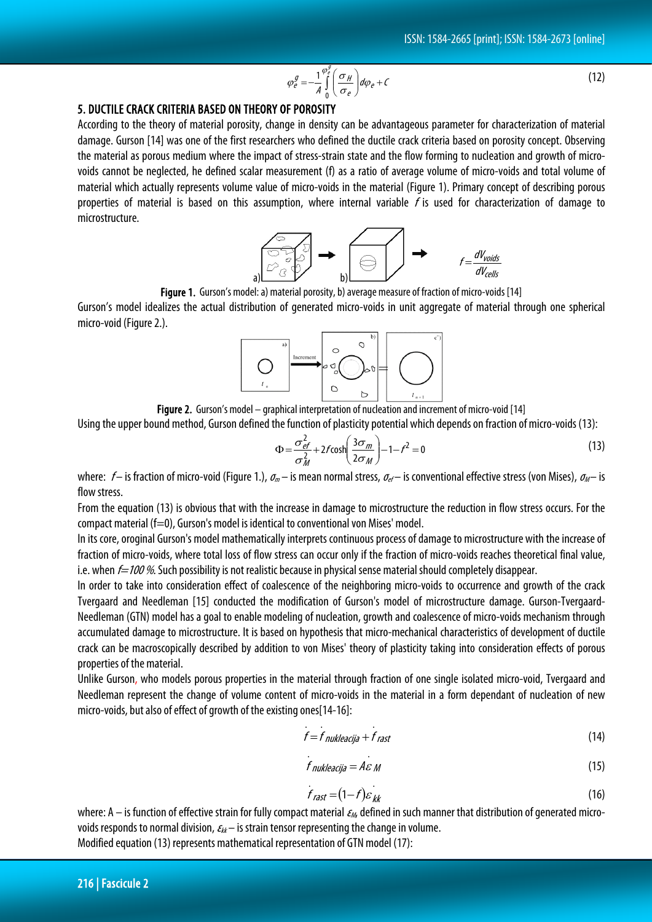$$
\varphi_e^g = -\frac{1}{A} \int_0^{\varphi_e^g} \left( \frac{\sigma_H}{\sigma_e} \right) d\varphi_e + C \tag{12}
$$

## 5. DUCTILE CRACK CRITERIA BASED ON THEORY OF POROSITY

According to the theory of material porosity, change in density can be advantageous parameter for characterization of material damage. Gurson [14] was one of the first researchers who defined the ductile crack criteria based on porosity concept. Observing the material as porous medium where the impact of stress-strain state and the flow forming to nucleation and growth of microvoids cannot be neglected, he defined scalar measurement (f) as a ratio of average volume of micro-voids and total volume of material which actually represents volume value of micro-voids in the material (Figure 1). Primary concept of describing porous properties of material is based on this assumption, where internal variable  $f$  is used for characterization of damage to microstructure.



Figure 1. Gurson's model: a) material porosity, b) average measure of fraction of micro-voids [14]

Gurson's model idealizes the actual distribution of generated micro-voids in unit aggregate of material through one spherical micro-void (Figure 2.).



Figure 2. Gurson's model – graphical interpretation of nucleation and increment of micro-void [14]

Using the upper bound method, Gurson defined the function of plasticity potential which depends on fraction of micro-voids (13):

$$
\Phi = \frac{\sigma_{ef}^2}{\sigma_M^2} + 2f \cosh\left(\frac{3\sigma_m}{2\sigma_M}\right) - 1 - f^2 = 0 \tag{13}
$$

where:  $f-$  is fraction of micro-void (Figure 1.),  $\sigma_m$  – is mean normal stress,  $\sigma_{ef}-$  is conventional effective stress (von Mises),  $\sigma_M$  – is flow stress.

From the equation (13) is obvious that with the increase in damage to microstructure the reduction in flow stress occurs. For the compact material (f=0), Gurson's model is identical to conventional von Mises' model.

In its core, oroginal Gurson's model mathematically interprets continuous process of damage to microstructure with the increase of fraction of micro-voids, where total loss of flow stress can occur only if the fraction of micro-voids reaches theoretical final value, i.e. when  $f=100\%$ . Such possibility is not realistic because in physical sense material should completely disappear.

In order to take into consideration effect of coalescence of the neighboring micro-voids to occurrence and growth of the crack Tvergaard and Needleman [15] conducted the modification of Gurson's model of microstructure damage. Gurson-Tvergaard-Needleman (GTN) model has a goal to enable modeling of nucleation, growth and coalescence of micro-voids mechanism through accumulated damage to microstructure. It is based on hypothesis that micro-mechanical characteristics of development of ductile crack can be macroscopically described by addition to von Mises' theory of plasticity taking into consideration effects of porous properties of the material.

Unlike Gurson, who models porous properties in the material through fraction of one single isolated micro-void, Tvergaard and Needleman represent the change of volume content of micro-voids in the material in a form dependant of nucleation of new micro-voids, but also of effect of growth of the existing ones[14-16]:

$$
f = f_{\textit{nukleacija}} + f_{\textit{rast}}
$$
 (14)

$$
f_{\text{nukleacija}} = A \varepsilon_{\text{M}} \tag{15}
$$

$$
f_{\text{rast}} = (1 - f)\varepsilon_{\text{kk}} \tag{16}
$$

where: A – is function of effective strain for fully compact material  $\epsilon_M$ , defined in such manner that distribution of generated microvoids responds to normal division,  $\varepsilon_{kk}$  – is strain tensor representing the change in volume. Modified equation (13) represents mathematical representation of GTN model (17):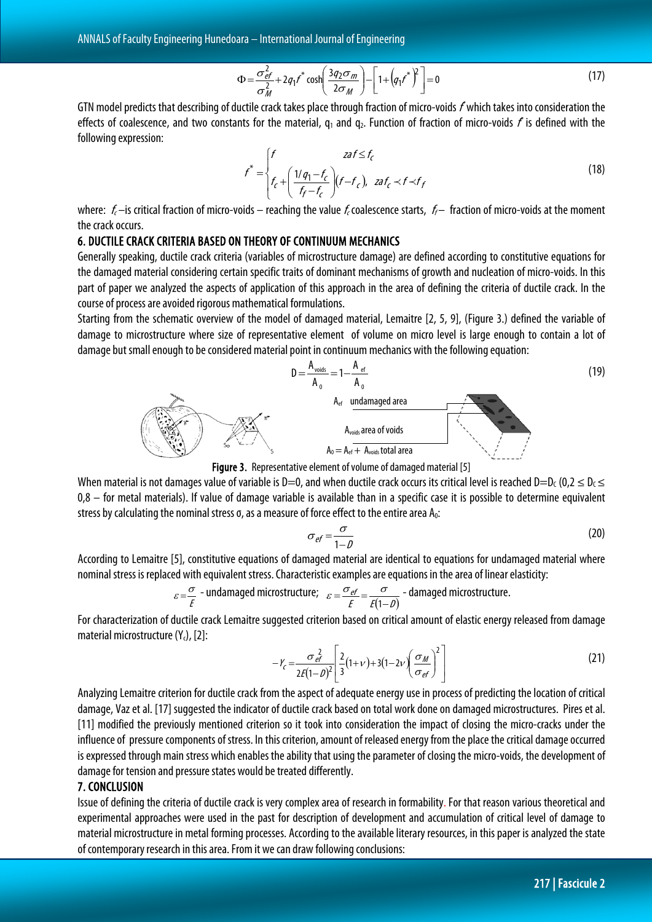$$
\Phi = \frac{\sigma_{ef}^2}{\sigma_M^2} + 2q_1 r^* \cosh\left(\frac{3q_2 \sigma_m}{2\sigma_M}\right) - \left[1 + \left(q_1 r^*\right)^2\right] = 0 \tag{17}
$$

GTN model predicts that describing of ductile crack takes place through fraction of micro-voids f which takes into consideration the effects of coalescence, and two constants for the material,  $q_1$  and  $q_2$ . Function of fraction of micro-voids  $f$  is defined with the following expression:

$$
f^* = \begin{cases} f & \text{zaf} \le f_c \\ f_c + \left(\frac{1/q_1 - f_c}{f_f - f_c}\right)(f - f_c), & \text{zaf}_c \prec f \prec f_f \end{cases}
$$
(18)

where:  $f_c$  –is critical fraction of micro-voids – reaching the value  $f_c$  coalescence starts,  $f_f$  – fraction of micro-voids at the moment the crack occurs.

#### 6. DUCTILE CRACK CRITERIA BASED ON THEORY OF CONTINUUM MECHANICS

Generally speaking, ductile crack criteria (variables of microstructure damage) are defined according to constitutive equations for the damaged material considering certain specific traits of dominant mechanisms of growth and nucleation of micro-voids. In this part of paper we analyzed the aspects of application of this approach in the area of defining the criteria of ductile crack. In the course of process are avoided rigorous mathematical formulations.

Starting from the schematic overview of the model of damaged material, Lemaitre [2, 5, 9], (Figure 3.) defined the variable of damage to microstructure where size of representative element of volume on micro level is large enough to contain a lot of damage but small enough to be considered material point in continuum mechanics with the following equation:





When material is not damages value of variable is D=0, and when ductile crack occurs its critical level is reached D=D<sub>C</sub> (0,2  $\leq$  D<sub>C</sub>  $\leq$ 0,8 – for metal materials). If value of damage variable is available than in a specific case it is possible to determine equivalent stress by calculating the nominal stress  $\sigma$ , as a measure of force effect to the entire area  $A_0$ :

$$
\sigma_{ef} = \frac{\sigma}{1 - D} \tag{20}
$$

According to Lemaitre [5], constitutive equations of damaged material are identical to equations for undamaged material where nominal stress is replaced with equivalent stress. Characteristic examples are equations in the area of linear elasticity:

$$
\varepsilon = \frac{\sigma}{E}
$$
 - undamaged microstructure; 
$$
\varepsilon = \frac{\sigma_{ef}}{E} = \frac{\sigma}{E(1-D)}
$$
 - damaged microstructure.

For characterization of ductile crack Lemaitre suggested criterion based on critical amount of elastic energy released from damage material microstructure  $(Y<sub>c</sub>)$ , [2]:

$$
-Y_c = \frac{\sigma_{ef}^2}{2E(1-\rho)^2} \left[ \frac{2}{3}(1+\nu) + 3(1-2\nu) \left(\frac{\sigma_M}{\sigma_{ef}}\right)^2 \right]
$$
(21)

Analyzing Lemaitre criterion for ductile crack from the aspect of adequate energy use in process of predicting the location of critical damage, Vaz et al. [17] suggested the indicator of ductile crack based on total work done on damaged microstructures. Pires et al. [11] modified the previously mentioned criterion so it took into consideration the impact of closing the micro-cracks under the influence of pressure components of stress. In this criterion, amount of released energy from the place the critical damage occurred is expressed through main stress which enables the ability that using the parameter of closing the micro-voids, the development of damage for tension and pressure states would be treated differently.

## 7. CONCLUSION

Issue of defining the criteria of ductile crack is very complex area of research in formability. For that reason various theoretical and experimental approaches were used in the past for description of development and accumulation of critical level of damage to material microstructure in metal forming processes. According to the available literary resources, in this paper is analyzed the state of contemporary research in this area. From it we can draw following conclusions: